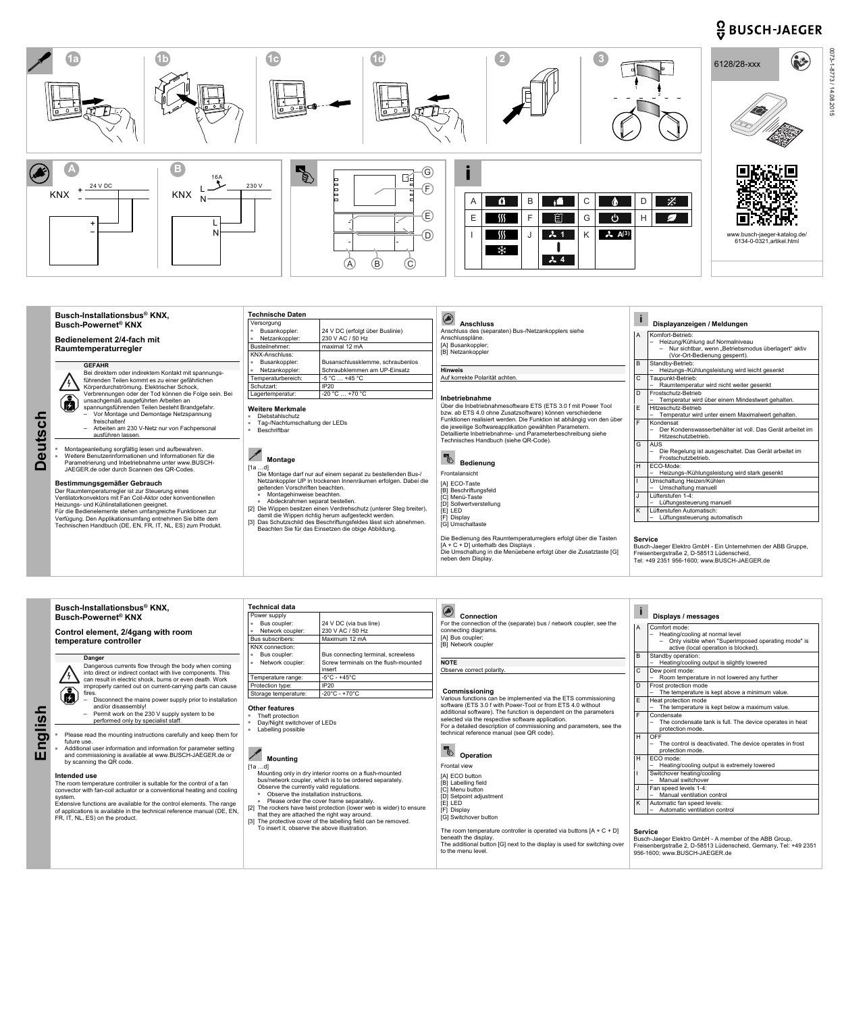## $\frac{O}{V}$  BUSCH-JAEGER



| <b>Utscl</b><br>$\boldsymbol{\omega}$ | Busch-Installationsbus <sup>®</sup> KNX,<br><b>Busch-Powernet<sup>®</sup> KNX</b><br><b>Bedienelement 2/4-fach mit</b><br>Raumtemperaturregler<br><b>GEFAHR</b>                                                                                                                                                                                                                                                                                                                                                                                                                                                                                                                                                                                                                                                                      | <b>Technische Daten</b><br>Versorgung<br>24 V DC (erfolgt über Buslinie)<br>Busankoppler:<br>230 V AC / 50 Hz<br>Netzankoppler:<br>maximal 12 mA<br>Busteilnehmer:<br><b>KNX-Anschluss:</b><br>Busanschlussklemme, schraubenlos<br>Busankoppler:                                                                                                                                                                                                                                                                                                                                                                                          | <b>Anschluss</b><br>Anschluss des (separaten) Bus-/Netzankopplers siehe<br>Anschlusspläne.<br>[A] Busankoppler;<br>[B] Netzankoppler<br><b>Hinweis</b><br>Auf korrekte Polarität achten.                                                                                                                                                                                                                                                                                                                                                                                                | Displayanzeigen / Meldungen<br>Komfort-Betrieb:<br>- Heizung/Kühlung auf Normalniveau<br>- Nur sichtbar, wenn "Betriebsmodus überlagert" aktiv<br>(Vor-Ort-Bedienung gesperrt).<br>Standby-Betrieb:                                                                                                                                                                                                                                                                                                                                                                                  |
|---------------------------------------|--------------------------------------------------------------------------------------------------------------------------------------------------------------------------------------------------------------------------------------------------------------------------------------------------------------------------------------------------------------------------------------------------------------------------------------------------------------------------------------------------------------------------------------------------------------------------------------------------------------------------------------------------------------------------------------------------------------------------------------------------------------------------------------------------------------------------------------|-------------------------------------------------------------------------------------------------------------------------------------------------------------------------------------------------------------------------------------------------------------------------------------------------------------------------------------------------------------------------------------------------------------------------------------------------------------------------------------------------------------------------------------------------------------------------------------------------------------------------------------------|-----------------------------------------------------------------------------------------------------------------------------------------------------------------------------------------------------------------------------------------------------------------------------------------------------------------------------------------------------------------------------------------------------------------------------------------------------------------------------------------------------------------------------------------------------------------------------------------|--------------------------------------------------------------------------------------------------------------------------------------------------------------------------------------------------------------------------------------------------------------------------------------------------------------------------------------------------------------------------------------------------------------------------------------------------------------------------------------------------------------------------------------------------------------------------------------|
|                                       | Bei direktem oder indirektem Kontakt mit spannungs-<br>führenden Teilen kommt es zu einer gefährlichen<br>Körperdurchströmung. Elektrischer Schock,<br>Verbrennungen oder der Tod können die Folge sein. Bei                                                                                                                                                                                                                                                                                                                                                                                                                                                                                                                                                                                                                         | Schraubklemmen am UP-Einsatz<br>Netzankoppler:<br>$-5 °C  +45 °C$<br>Temperaturbereich:<br>IP20<br>Schutzart:<br>$-20 °C  +70 °C$                                                                                                                                                                                                                                                                                                                                                                                                                                                                                                         |                                                                                                                                                                                                                                                                                                                                                                                                                                                                                                                                                                                         | - Heizungs-/Kühlungsleistung wird leicht gesenkt<br>$\mathbf{C}$<br>Taupunkt-Betrieb:<br>Raumtemperatur wird nicht weiter gesenkt<br>Frostschutz-Betrieb<br>D.                                                                                                                                                                                                                                                                                                                                                                                                                       |
|                                       | unsachgemäß ausgeführten Arbeiten an<br>spannungsführenden Teilen besteht Brandgefahr.<br>Vor Montage und Demontage Netzspannung<br>freischalten!<br>- Arbeiten am 230 V-Netz nur von Fachpersonal<br>ausführen lassen.<br>Montageanleitung sorgfältig lesen und aufbewahren.<br>Weitere Benutzerinformationen und Informationen für die<br>Parametrierung und Inbetriebnahme unter www.BUSCH-<br>JAEGER de oder durch Scannen des OR-Codes<br>Bestimmungsgemäßer Gebrauch<br>Der Raumtemperaturregler ist zur Steuerung eines<br>Ventilatorkonvektors mit Fan Coil-Aktor oder konventionellen<br>Heizungs- und Kühlinstallationen geeignet.<br>Für die Bedienelemente stehen umfangreiche Funktionen zur<br>Verfügung. Den Applikationsumfang entnehmen Sie bitte dem<br>Technischen Handbuch (DE, EN, FR, IT, NL, ES) zum Produkt. | Lagertemperatur:<br><b>Weitere Merkmale</b><br>Diebstahlschutz<br>Tag-/Nachtumschaltung der LEDs<br>Beschriftbar<br><b>Montage</b><br>[1ad]<br>Die Montage darf nur auf einem separat zu bestellenden Bus-/<br>Netzankoppler UP in trockenen Innenräumen erfolgen. Dabei die<br>geltenden Vorschriften beachten.<br>Montagehinweise beachten.<br>Abdeckrahmen separat bestellen.<br>[2] Die Wippen besitzen einen Verdrehschutz (unterer Steg breiter),<br>damit die Wippen richtig herum aufgesteckt werden.<br>[3] Das Schutzschild des Beschriftungsfeldes lässt sich abnehmen.<br>Beachten Sie für das Einsetzen die obige Abbildung. | Inbetriebnahme<br>Über die Inbetriebnahmesoftware ETS (ETS 3.0 f mit Power Tool<br>bzw. ab ETS 4.0 ohne Zusatzsoftware) können verschiedene<br>Funktionen realisiert werden. Die Funktion ist abhängig von den über<br>die jeweilige Softwareapplikation gewählten Parametern.<br>Detaillierte Inbetriebnahme- und Parameterbeschreibung siehe<br>Technisches Handbuch (siehe QR-Code).<br>Bedienung<br>Frontalansicht<br><b>IAI ECO-Taste</b><br>[B] Beschriftungsfeld<br><b>IC1 Menü-Taste</b><br>[D] Sollwertverstellung<br><b>[E] LED</b><br><b>IF1 Display</b><br>[G] Umschaltaste | - Temperatur wird über einem Mindestwert gehalten.<br>E<br>Hitzeschutz-Betrieb<br>- Temperatur wird unter einem Maximalwert gehalten.<br>Kondensat<br>Der Kondenswasserbehälter ist voll. Das Gerät arbeitet im<br>Hitzeschutzbetrieb.<br>G<br><b>AUS</b><br>Die Regelung ist ausgeschaltet. Das Gerät arbeitet im<br>Frostschutzbetrieb.<br>ECO-Mode:<br>H<br>- Heizungs-/Kühlungsleistung wird stark gesenkt<br>Umschaltung Heizen/Kühlen<br>Umschaltung manuell<br>Lüfterstufen 1-4:<br>- Lüftungssteuerung manuell<br>Lüfterstufen Automatisch:<br>Lüftungssteuerung automatisch |
|                                       |                                                                                                                                                                                                                                                                                                                                                                                                                                                                                                                                                                                                                                                                                                                                                                                                                                      |                                                                                                                                                                                                                                                                                                                                                                                                                                                                                                                                                                                                                                           | Die Bedienung des Raumtemperaturreglers erfolgt über die Tasten<br>$[A + C + D]$ unterhalb des Displays.<br>Die Umschaltung in die Menüebene erfolgt über die Zusatztaste [G]<br>neben dem Display.                                                                                                                                                                                                                                                                                                                                                                                     | <b>Service</b><br>Busch-Jaeger Elektro GmbH - Ein Unternehmen der ABB Gruppe,<br>Freisenbergstraße 2, D-58513 Lüdenscheid,<br>Tel: +49 2351 956-1600; www.BUSCH-JAEGER.de                                                                                                                                                                                                                                                                                                                                                                                                            |

|                    | Busch-Installationsbus <sup>®</sup> KNX,<br><b>Busch-Powernet<sup>®</sup> KNX</b>                                                                                                                                                                                                                                                                                                                                                                                                                                                                                                                                                                                                                                | <b>Technical data</b><br>Power supply<br>24 V DC (via bus line)<br>Bus coupler:                             |                                                                                                                                                                                | <b>Connection</b><br>For the connection of the (separate) bus / network coupler, see the                                                                                                                                                                                                                                                                                    |     | Displays / messages                                                                                                                                                                                             |
|--------------------|------------------------------------------------------------------------------------------------------------------------------------------------------------------------------------------------------------------------------------------------------------------------------------------------------------------------------------------------------------------------------------------------------------------------------------------------------------------------------------------------------------------------------------------------------------------------------------------------------------------------------------------------------------------------------------------------------------------|-------------------------------------------------------------------------------------------------------------|--------------------------------------------------------------------------------------------------------------------------------------------------------------------------------|-----------------------------------------------------------------------------------------------------------------------------------------------------------------------------------------------------------------------------------------------------------------------------------------------------------------------------------------------------------------------------|-----|-----------------------------------------------------------------------------------------------------------------------------------------------------------------------------------------------------------------|
| <b>S</b><br>5<br>ш | Control element, 2/4gang with room<br>temperature controller                                                                                                                                                                                                                                                                                                                                                                                                                                                                                                                                                                                                                                                     | Network coupler:<br>Bus subscribers:<br>KNX connection:                                                     | 230 V AC / 50 Hz<br>Maximum 12 mA                                                                                                                                              | connecting diagrams.<br>[A] Bus coupler;<br>[B] Network coupler                                                                                                                                                                                                                                                                                                             |     | Comfort mode:<br>- Heating/cooling at normal level<br>- Only visible when "Superimposed operating mode" is<br>active (local operation is blocked).                                                              |
|                    | Danger<br>Dangerous currents flow through the body when coming<br>into direct or indirect contact with live components. This<br>can result in electric shock, burns or even death. Work<br>improperly carried out on current-carrying parts can cause<br>$\bf \widehat{a}$<br>fires.<br>Disconnect the mains power supply prior to installation<br>and/or disassembly!<br>- Permit work on the 230 V supply system to be<br>performed only by specialist staff.<br>Please read the mounting instructions carefully and keep them for<br>future use.<br>Additional user information and information for parameter setting<br>and commissioning is available at www.BUSCH-JAEGER.de or<br>by scanning the QR code. | Bus coupler:<br>Network coupler:<br>Temperature range:<br>Protection type:<br>Storage temperature:          | Bus connecting terminal, screwless<br>Screw terminals on the flush-mounted<br>insert<br>$-5^{\circ}$ C - +45 $^{\circ}$ C<br><b>IP20</b><br>$-20^{\circ}$ C - +70 $^{\circ}$ C | <b>NOTE</b><br>Observe correct polarity.<br>Commissioning                                                                                                                                                                                                                                                                                                                   |     | Standby operation:<br>Heating/cooling output is slightly lowered<br>Dew point mode:<br>Room temperature in not lowered any further<br>Frost protection mode<br>- The temperature is kept above a minimum value. |
|                    |                                                                                                                                                                                                                                                                                                                                                                                                                                                                                                                                                                                                                                                                                                                  | <b>Other features</b><br>Theft protection<br>Day/Night switchover of LEDs<br>Labelling possible<br>Mounting |                                                                                                                                                                                | Various functions can be implemented via the ETS commissioning<br>software (ETS 3.0 f with Power-Tool or from ETS 4.0 without<br>additional software). The function is dependent on the parameters<br>selected via the respective software application.<br>For a detailed description of commissioning and parameters, see the<br>technical reference manual (see QR code). | lн. | Heat protection mode<br>The temperature is kept below a maximum value.<br>Condensate<br>The condensate tank is full. The device operates in heat<br>protection mode.<br><b>OFF</b>                              |
|                    |                                                                                                                                                                                                                                                                                                                                                                                                                                                                                                                                                                                                                                                                                                                  |                                                                                                             |                                                                                                                                                                                | <b>Operation</b><br>Erontal view                                                                                                                                                                                                                                                                                                                                            |     | The control is deactivated. The device operates in frost<br>protection mode.<br>ECO mode:<br>Heating/cooling output is extremely lowered                                                                        |

| by scanning the QR code.<br>Intended use<br>The room temperature controller is suitable for the control of a fan<br>convector with fan-coil actuator or a conventional heating and cooling<br>system.<br>Extensive functions are available for the control elements. The range<br>of applications is available in the technical reference manual (DE, EN,<br>FR, IT, NL, ES) on the product. | <b>MOUNTING</b><br>[1a …d]<br>Mounting only in dry interior rooms on a flush-mounted<br>bus/network coupler, which is to be ordered separately.<br>Observe the currently valid regulations.<br>Observe the installation instructions.<br>Please order the cover frame separately.<br>[2] The rockers have twist protection (lower web is wider) to ensure<br>that they are attached the right way around.<br>[3] The protective cover of the labelling field can be removed.<br>To insert it, observe the above illustration. | Frontal view<br>[A] ECO button<br>[B] Labelling field<br>[C] Menu button<br>[D] Setpoint adjustment<br>[E] LED<br>[F] Display<br>[G] Switchover button<br>The room temperature controller is operated via buttons $[A + C + D]$<br>beneath the display. | - Heating/cooling output is extremely lowered<br>Switchover heating/cooling<br>Manual switchover<br>Fan speed levels 1-4:<br>- Manual ventilation control<br>Automatic fan speed levels:<br>- Automatic ventilation control<br><b>Service</b><br>Busch-Jaeger Elektro GmbH - A member of the ABB Group, |
|----------------------------------------------------------------------------------------------------------------------------------------------------------------------------------------------------------------------------------------------------------------------------------------------------------------------------------------------------------------------------------------------|-------------------------------------------------------------------------------------------------------------------------------------------------------------------------------------------------------------------------------------------------------------------------------------------------------------------------------------------------------------------------------------------------------------------------------------------------------------------------------------------------------------------------------|---------------------------------------------------------------------------------------------------------------------------------------------------------------------------------------------------------------------------------------------------------|---------------------------------------------------------------------------------------------------------------------------------------------------------------------------------------------------------------------------------------------------------------------------------------------------------|
|                                                                                                                                                                                                                                                                                                                                                                                              |                                                                                                                                                                                                                                                                                                                                                                                                                                                                                                                               | The additional button [G] next to the display is used for switching over<br>to the menu level.                                                                                                                                                          | Freisenbergstraße 2, D-58513 Lüdenscheid, Germany, Tel: +49 2351<br>956-1600: www.BUSCH-JAEGER.de                                                                                                                                                                                                       |